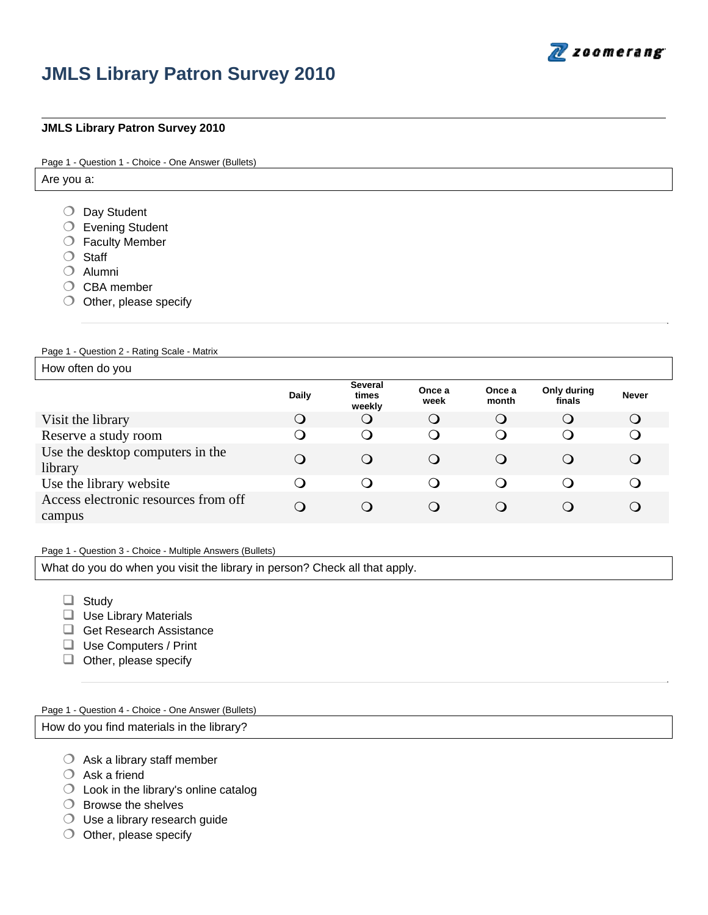

# **JMLS Library Patron Survey 2010**

## **JMLS Library Patron Survey 2010**

Page 1 - Question 1 - Choice - One Answer (Bullets)

Are you a:

- O Day Student
- Evening Student
- Faculty Member
- O Staff
- $O$  Alumni
- $O$  CBA member
- $\bigcirc$  Other, please specify

Page 1 - Question 2 - Rating Scale - Matrix

How often do you

|                                                | Daily | <b>Several</b><br>times<br>weekly | Once a<br>week | Once a<br>month | Only during<br>finals | <b>Never</b> |
|------------------------------------------------|-------|-----------------------------------|----------------|-----------------|-----------------------|--------------|
| Visit the library                              | Q     | $\bigcirc$                        | Q              | $\bigcirc$      | $\bigcirc$            | $\bigcirc$   |
| Reserve a study room                           |       | O                                 | O              | O               | $\cup$                |              |
| Use the desktop computers in the<br>library    | Q     | $\Omega$                          | O              | $\cup$          |                       | $\cup$       |
| Use the library website                        |       |                                   |                |                 |                       |              |
| Access electronic resources from off<br>campus | O     | Q                                 | O              | $\cup$          | ( )                   |              |

#### Page 1 - Question 3 - Choice - Multiple Answers (Bullets)

What do you do when you visit the library in person? Check all that apply.

- Study
- $\Box$  Use Library Materials
- Get Research Assistance
- □ Use Computers / Print
- $\Box$  Other, please specify

Page 1 - Question 4 - Choice - One Answer (Bullets)

How do you find materials in the library?

- $\bigcirc$  Ask a library staff member
- $O$  Ask a friend
- Look in the library's online catalog
- $\bigcirc$  Browse the shelves
- Use a library research guide
- $\bigcirc$  Other, please specify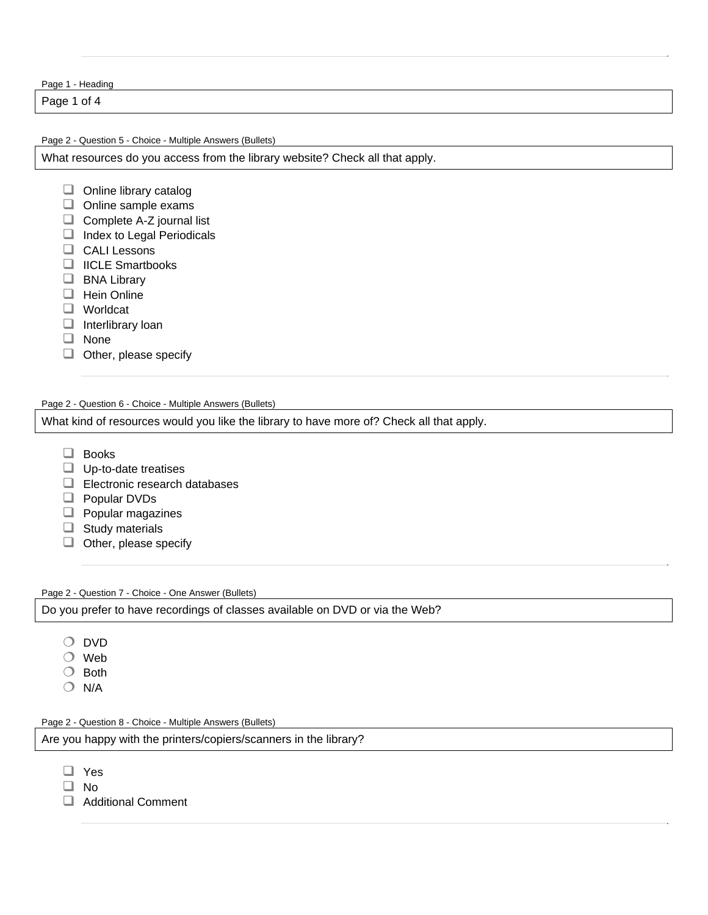Page 1 - Heading

Page 1 of 4

Page 2 - Question 5 - Choice - Multiple Answers (Bullets)

What resources do you access from the library website? Check all that apply.

- $\Box$  Online library catalog
- $\Box$  Online sample exams
- $\Box$  Complete A-Z journal list
- $\Box$  Index to Legal Periodicals
- CALI Lessons
- $\Box$  IICLE Smartbooks
- **BNA Library**
- $\Box$  Hein Online
- □ Worldcat
- $\Box$  Interlibrary loan
- $\Box$  None
- $\Box$  Other, please specify

Page 2 - Question 6 - Choice - Multiple Answers (Bullets)

What kind of resources would you like the library to have more of? Check all that apply.

- □ Books
- $\Box$  Up-to-date treatises
- Electronic research databases
- **Popular DVDs**
- $\Box$  Popular magazines
- $\Box$  Study materials
- $\Box$  Other, please specify

Page 2 - Question 7 - Choice - One Answer (Bullets)

Do you prefer to have recordings of classes available on DVD or via the Web?

- O DVD
- Web
- $\bigcirc$  Both
- $O$  N/A

Page 2 - Question 8 - Choice - Multiple Answers (Bullets)

Are you happy with the printers/copiers/scanners in the library?

- □ Yes
- $\Box$  No
- Additional Comment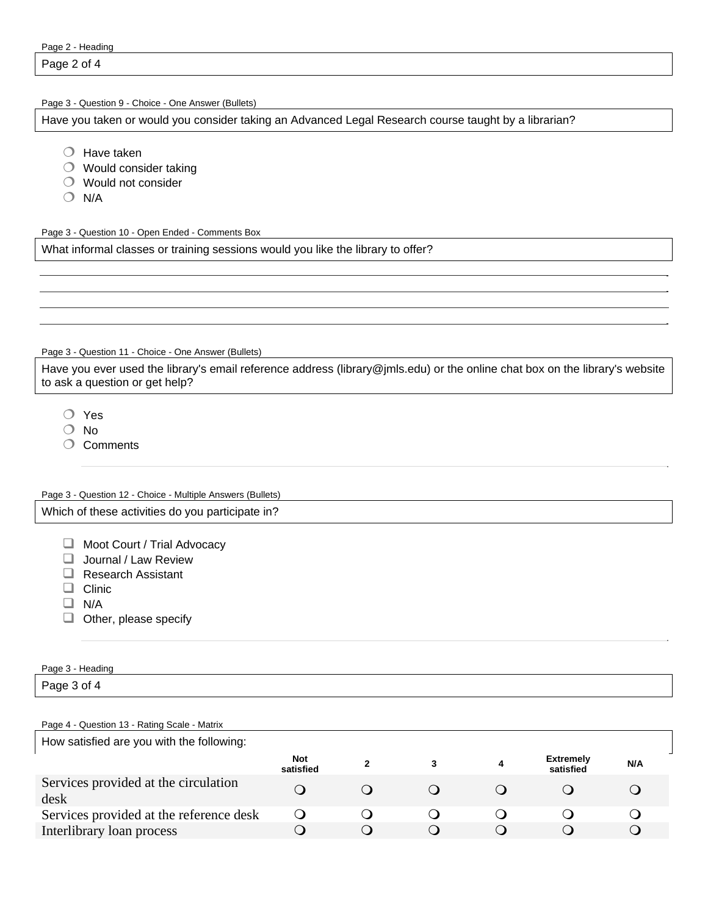| Page 2 - Heading |  |
|------------------|--|
|------------------|--|

Page 2 of 4

Page 3 - Question 9 - Choice - One Answer (Bullets)

Have you taken or would you consider taking an Advanced Legal Research course taught by a librarian?

- $O$  Have taken
- $\bigcirc$  Would consider taking
- Would not consider
- $O$  N/A

Page 3 - Question 10 - Open Ended - Comments Box

What informal classes or training sessions would you like the library to offer?

Page 3 - Question 11 - Choice - One Answer (Bullets)

Have you ever used the library's email reference address (library@jmls.edu) or the online chat box on the library's website to ask a question or get help?

Yes

- O No
- O Comments

## Page 3 - Question 12 - Choice - Multiple Answers (Bullets) Which of these activities do you participate in?

Moot Court / Trial Advocacy

- **Journal / Law Review**
- Research Assistant
- $\Box$  Clinic
- $\Box$  N/A
- $\Box$  Other, please specify

# Page 3 - Heading Page 3 of 4

#### Page 4 - Question 13 - Rating Scale - Matrix

| How satisfied are you with the following:    |                         |  |  |   |                               |     |
|----------------------------------------------|-------------------------|--|--|---|-------------------------------|-----|
|                                              | <b>Not</b><br>satisfied |  |  | 4 | <b>Extremely</b><br>satisfied | N/A |
| Services provided at the circulation<br>desk |                         |  |  |   |                               |     |
| Services provided at the reference desk      |                         |  |  |   |                               |     |
| Interlibrary loan process                    |                         |  |  |   |                               |     |